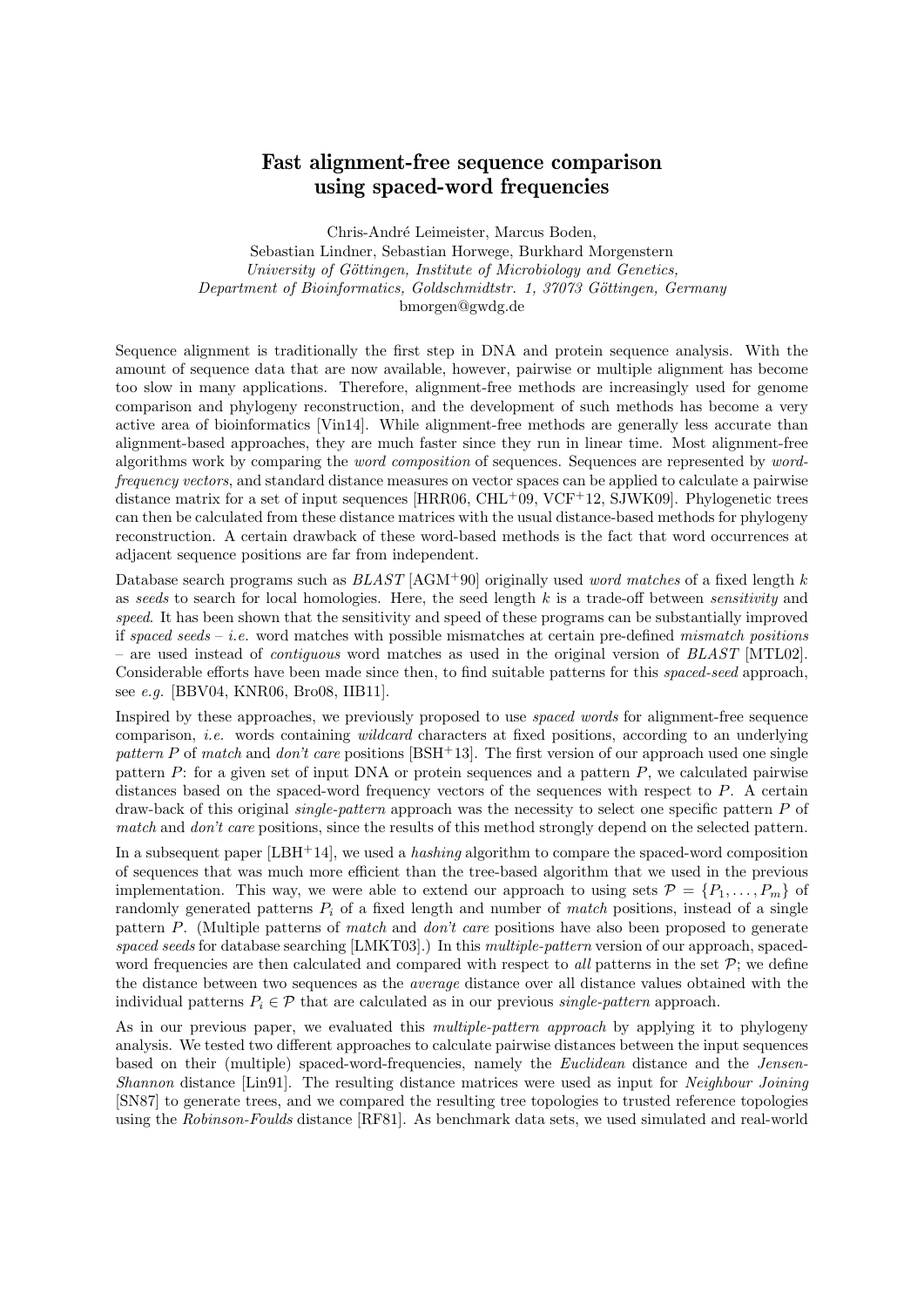## Fast alignment-free sequence comparison using spaced-word frequencies

Chris-André Leimeister, Marcus Boden, Sebastian Lindner, Sebastian Horwege, Burkhard Morgenstern University of Göttingen, Institute of Microbiology and Genetics, Department of Bioinformatics, Goldschmidtstr. 1, 37073 Göttingen, Germany bmorgen@gwdg.de

Sequence alignment is traditionally the first step in DNA and protein sequence analysis. With the amount of sequence data that are now available, however, pairwise or multiple alignment has become too slow in many applications. Therefore, alignment-free methods are increasingly used for genome comparison and phylogeny reconstruction, and the development of such methods has become a very active area of bioinformatics [Vin14]. While alignment-free methods are generally less accurate than alignment-based approaches, they are much faster since they run in linear time. Most alignment-free algorithms work by comparing the word composition of sequences. Sequences are represented by wordfrequency vectors, and standard distance measures on vector spaces can be applied to calculate a pairwise distance matrix for a set of input sequences [HRR06, CHL+09, VCF+12, SJWK09]. Phylogenetic trees can then be calculated from these distance matrices with the usual distance-based methods for phylogeny reconstruction. A certain drawback of these word-based methods is the fact that word occurrences at adjacent sequence positions are far from independent.

Database search programs such as  $BLAST$  [AGM+90] originally used *word matches* of a fixed length k as seeds to search for local homologies. Here, the seed length  $k$  is a trade-off between sensitivity and speed. It has been shown that the sensitivity and speed of these programs can be substantially improved if spaced seeds – *i.e.* word matches with possible mismatches at certain pre-defined *mismatch positions* are used instead of *contiguous* word matches as used in the original version of BLAST [MTL02]. Considerable efforts have been made since then, to find suitable patterns for this spaced-seed approach, see e.g. [BBV04, KNR06, Bro08, IIB11].

Inspired by these approaches, we previously proposed to use spaced words for alignment-free sequence comparison, i.e. words containing wildcard characters at fixed positions, according to an underlying pattern P of match and don't care positions [BSH+13]. The first version of our approach used one single pattern  $P$ : for a given set of input DNA or protein sequences and a pattern  $P$ , we calculated pairwise distances based on the spaced-word frequency vectors of the sequences with respect to P. A certain draw-back of this original *single-pattern* approach was the necessity to select one specific pattern  $P$  of match and don't care positions, since the results of this method strongly depend on the selected pattern.

In a subsequent paper  $[LBH^+14]$ , we used a hashing algorithm to compare the spaced-word composition of sequences that was much more efficient than the tree-based algorithm that we used in the previous implementation. This way, we were able to extend our approach to using sets  $\mathcal{P} = \{P_1, \ldots, P_m\}$  of randomly generated patterns  $P_i$  of a fixed length and number of match positions, instead of a single pattern P. (Multiple patterns of *match* and *don't care* positions have also been proposed to generate spaced seeds for database searching [LMKT03].) In this multiple-pattern version of our approach, spacedword frequencies are then calculated and compared with respect to all patterns in the set  $\mathcal{P}$ ; we define the distance between two sequences as the average distance over all distance values obtained with the individual patterns  $P_i \in \mathcal{P}$  that are calculated as in our previous *single-pattern* approach.

As in our previous paper, we evaluated this *multiple-pattern approach* by applying it to phylogeny analysis. We tested two different approaches to calculate pairwise distances between the input sequences based on their (multiple) spaced-word-frequencies, namely the *Euclidean* distance and the *Jensen-*Shannon distance [Lin91]. The resulting distance matrices were used as input for *Neighbour Joining* [SN87] to generate trees, and we compared the resulting tree topologies to trusted reference topologies using the Robinson-Foulds distance [RF81]. As benchmark data sets, we used simulated and real-world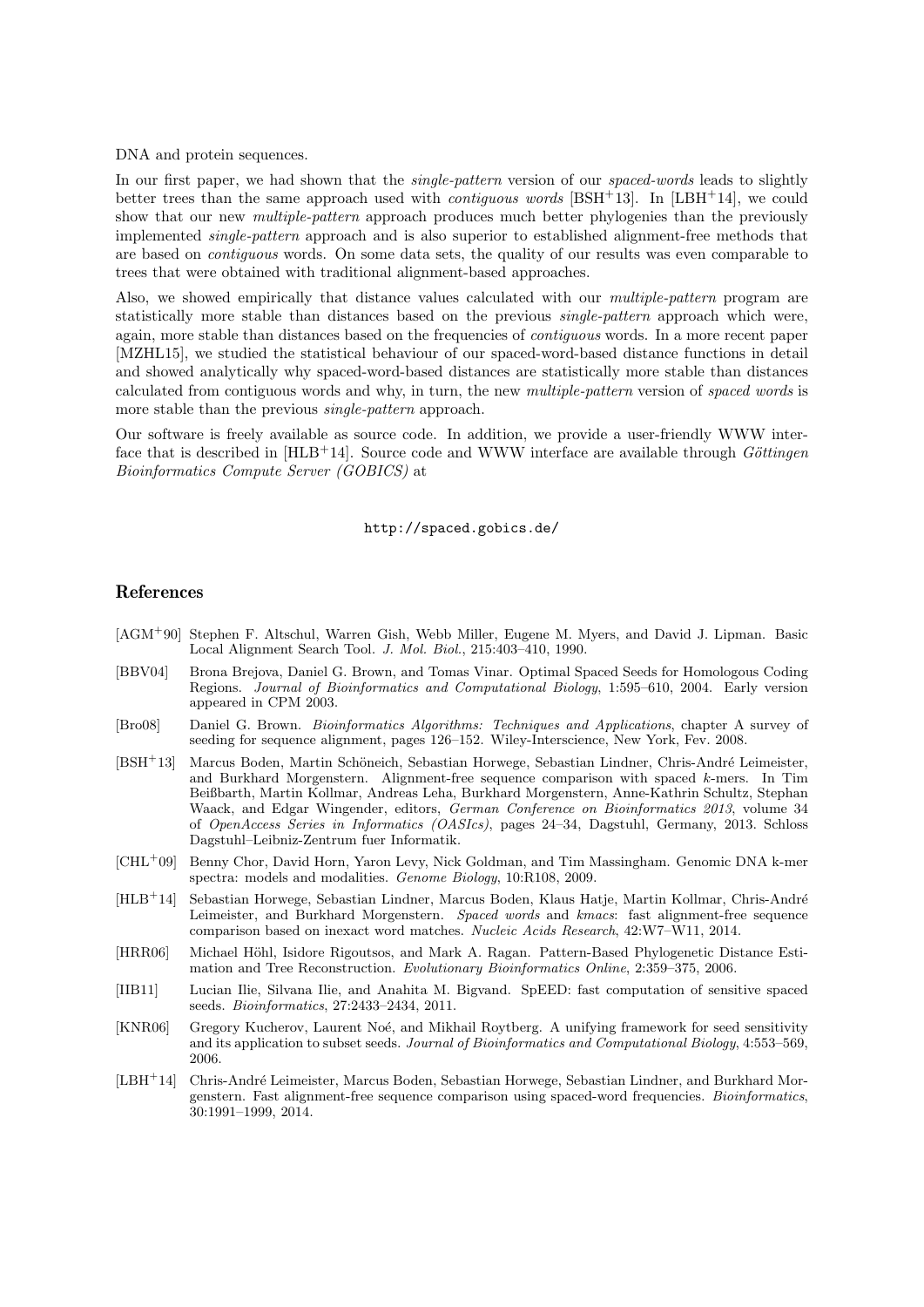DNA and protein sequences.

In our first paper, we had shown that the *single-pattern* version of our *spaced-words* leads to slightly better trees than the same approach used with *contiguous words* [BSH<sup>+</sup>13]. In [LBH<sup>+</sup>14], we could show that our new *multiple-pattern* approach produces much better phylogenies than the previously implemented single-pattern approach and is also superior to established alignment-free methods that are based on contiguous words. On some data sets, the quality of our results was even comparable to trees that were obtained with traditional alignment-based approaches.

Also, we showed empirically that distance values calculated with our *multiple-pattern* program are statistically more stable than distances based on the previous single-pattern approach which were, again, more stable than distances based on the frequencies of contiguous words. In a more recent paper [MZHL15], we studied the statistical behaviour of our spaced-word-based distance functions in detail and showed analytically why spaced-word-based distances are statistically more stable than distances calculated from contiguous words and why, in turn, the new multiple-pattern version of spaced words is more stable than the previous single-pattern approach.

Our software is freely available as source code. In addition, we provide a user-friendly WWW interface that is described in  $[HLB+14]$ . Source code and WWW interface are available through Göttingen Bioinformatics Compute Server (GOBICS) at

## http://spaced.gobics.de/

## References

- [AGM<sup>+</sup>90] Stephen F. Altschul, Warren Gish, Webb Miller, Eugene M. Myers, and David J. Lipman. Basic Local Alignment Search Tool. J. Mol. Biol., 215:403–410, 1990.
- [BBV04] Brona Brejova, Daniel G. Brown, and Tomas Vinar. Optimal Spaced Seeds for Homologous Coding Regions. Journal of Bioinformatics and Computational Biology, 1:595–610, 2004. Early version appeared in CPM 2003.
- [Bro08] Daniel G. Brown. Bioinformatics Algorithms: Techniques and Applications, chapter A survey of seeding for sequence alignment, pages 126–152. Wiley-Interscience, New York, Fev. 2008.
- [BSH<sup>+</sup>13] Marcus Boden, Martin Schöneich, Sebastian Horwege, Sebastian Lindner, Chris-André Leimeister, and Burkhard Morgenstern. Alignment-free sequence comparison with spaced k-mers. In Tim Beißbarth, Martin Kollmar, Andreas Leha, Burkhard Morgenstern, Anne-Kathrin Schultz, Stephan Waack, and Edgar Wingender, editors, German Conference on Bioinformatics 2013, volume 34 of OpenAccess Series in Informatics (OASIcs), pages 24–34, Dagstuhl, Germany, 2013. Schloss Dagstuhl–Leibniz-Zentrum fuer Informatik.
- [CHL<sup>+</sup>09] Benny Chor, David Horn, Yaron Levy, Nick Goldman, and Tim Massingham. Genomic DNA k-mer spectra: models and modalities. Genome Biology, 10:R108, 2009.
- [HLB<sup>+</sup>14] Sebastian Horwege, Sebastian Lindner, Marcus Boden, Klaus Hatje, Martin Kollmar, Chris-André Leimeister, and Burkhard Morgenstern. Spaced words and kmacs: fast alignment-free sequence comparison based on inexact word matches. Nucleic Acids Research, 42:W7–W11, 2014.
- [HRR06] Michael Höhl, Isidore Rigoutsos, and Mark A. Ragan. Pattern-Based Phylogenetic Distance Estimation and Tree Reconstruction. Evolutionary Bioinformatics Online, 2:359–375, 2006.
- [IIB11] Lucian Ilie, Silvana Ilie, and Anahita M. Bigvand. SpEED: fast computation of sensitive spaced seeds. Bioinformatics, 27:2433–2434, 2011.
- [KNR06] Gregory Kucherov, Laurent Noé, and Mikhail Roytberg. A unifying framework for seed sensitivity and its application to subset seeds. Journal of Bioinformatics and Computational Biology, 4:553–569, 2006.
- [LBH<sup>+</sup>14] Chris-Andr´e Leimeister, Marcus Boden, Sebastian Horwege, Sebastian Lindner, and Burkhard Morgenstern. Fast alignment-free sequence comparison using spaced-word frequencies. Bioinformatics, 30:1991–1999, 2014.